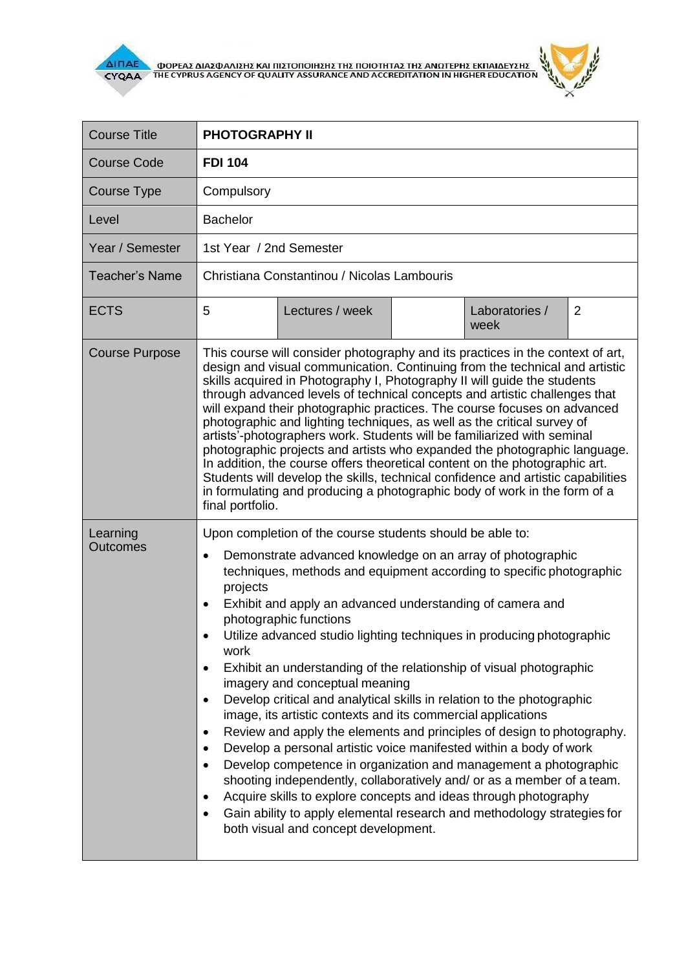

Г

i.

٦

| <b>Course Title</b>   | <b>PHOTOGRAPHY II</b>                                                                                                                                                                                                                                                                                                                                                                                                                                                                                                                                                                                                                                                                                                                                                                                                                                                                                                                                                                                                                                                                                                                                                                                                                                         |                                          |  |  |
|-----------------------|---------------------------------------------------------------------------------------------------------------------------------------------------------------------------------------------------------------------------------------------------------------------------------------------------------------------------------------------------------------------------------------------------------------------------------------------------------------------------------------------------------------------------------------------------------------------------------------------------------------------------------------------------------------------------------------------------------------------------------------------------------------------------------------------------------------------------------------------------------------------------------------------------------------------------------------------------------------------------------------------------------------------------------------------------------------------------------------------------------------------------------------------------------------------------------------------------------------------------------------------------------------|------------------------------------------|--|--|
| <b>Course Code</b>    | <b>FDI 104</b>                                                                                                                                                                                                                                                                                                                                                                                                                                                                                                                                                                                                                                                                                                                                                                                                                                                                                                                                                                                                                                                                                                                                                                                                                                                |                                          |  |  |
| <b>Course Type</b>    | Compulsory                                                                                                                                                                                                                                                                                                                                                                                                                                                                                                                                                                                                                                                                                                                                                                                                                                                                                                                                                                                                                                                                                                                                                                                                                                                    |                                          |  |  |
| Level                 | <b>Bachelor</b>                                                                                                                                                                                                                                                                                                                                                                                                                                                                                                                                                                                                                                                                                                                                                                                                                                                                                                                                                                                                                                                                                                                                                                                                                                               |                                          |  |  |
| Year / Semester       | 1st Year / 2nd Semester                                                                                                                                                                                                                                                                                                                                                                                                                                                                                                                                                                                                                                                                                                                                                                                                                                                                                                                                                                                                                                                                                                                                                                                                                                       |                                          |  |  |
| <b>Teacher's Name</b> | Christiana Constantinou / Nicolas Lambouris                                                                                                                                                                                                                                                                                                                                                                                                                                                                                                                                                                                                                                                                                                                                                                                                                                                                                                                                                                                                                                                                                                                                                                                                                   |                                          |  |  |
| <b>ECTS</b>           | 5<br>Lectures / week                                                                                                                                                                                                                                                                                                                                                                                                                                                                                                                                                                                                                                                                                                                                                                                                                                                                                                                                                                                                                                                                                                                                                                                                                                          | Laboratories /<br>$\overline{2}$<br>week |  |  |
| <b>Course Purpose</b> | This course will consider photography and its practices in the context of art,<br>design and visual communication. Continuing from the technical and artistic<br>skills acquired in Photography I, Photography II will guide the students<br>through advanced levels of technical concepts and artistic challenges that<br>will expand their photographic practices. The course focuses on advanced<br>photographic and lighting techniques, as well as the critical survey of<br>artists'-photographers work. Students will be familiarized with seminal<br>photographic projects and artists who expanded the photographic language.<br>In addition, the course offers theoretical content on the photographic art.<br>Students will develop the skills, technical confidence and artistic capabilities<br>in formulating and producing a photographic body of work in the form of a<br>final portfolio.                                                                                                                                                                                                                                                                                                                                                    |                                          |  |  |
| Learning<br>Outcomes  | Upon completion of the course students should be able to:<br>Demonstrate advanced knowledge on an array of photographic<br>$\bullet$<br>techniques, methods and equipment according to specific photographic<br>projects<br>Exhibit and apply an advanced understanding of camera and<br>$\bullet$<br>photographic functions<br>Utilize advanced studio lighting techniques in producing photographic<br>$\bullet$<br>work<br>Exhibit an understanding of the relationship of visual photographic<br>$\bullet$<br>imagery and conceptual meaning<br>Develop critical and analytical skills in relation to the photographic<br>$\bullet$<br>image, its artistic contexts and its commercial applications<br>Review and apply the elements and principles of design to photography.<br>$\bullet$<br>Develop a personal artistic voice manifested within a body of work<br>$\bullet$<br>Develop competence in organization and management a photographic<br>$\bullet$<br>shooting independently, collaboratively and/ or as a member of a team.<br>Acquire skills to explore concepts and ideas through photography<br>$\bullet$<br>Gain ability to apply elemental research and methodology strategies for<br>$\bullet$<br>both visual and concept development. |                                          |  |  |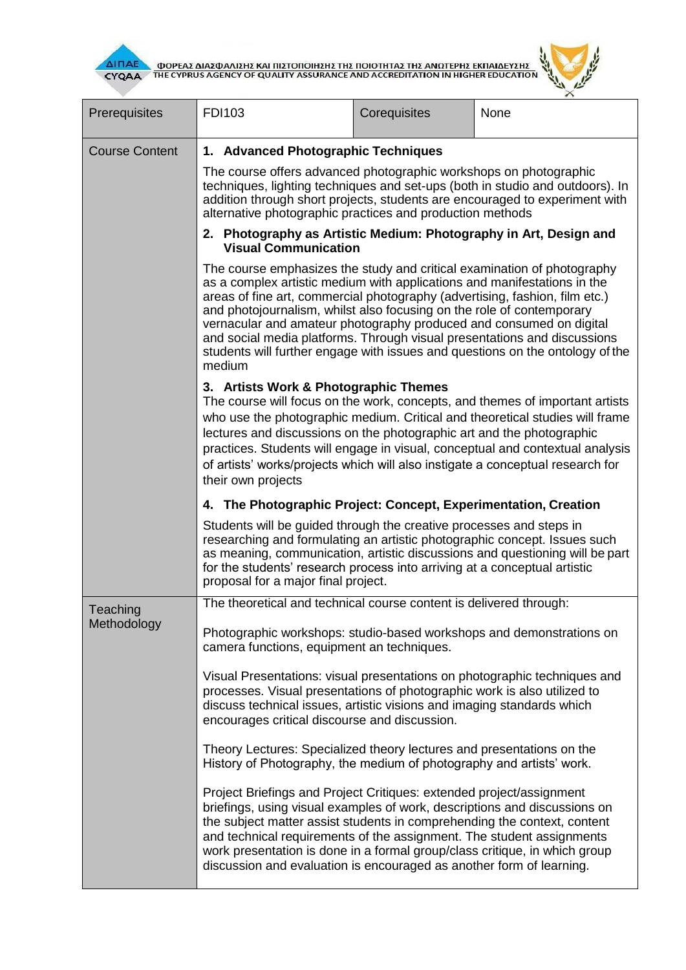

| ΔΙΠΑΕ<br>ΦΟΡΕΑΣ ΔΙΑΣΦΑΛΙΣΗΣ ΚΑΙ ΠΙΣΤΟΠΟΙΗΣΗΣ ΤΗΣ ΠΟΙΟΤΗΤΑΣ ΤΗΣ ΑΝΩΤΕΡΗΣ ΕΚΠΑΙΔΕΥΣΗΣ<br>ΤΗΕ CYPRUS AGENCY OF QUALITY ASSURANCE AND ACCREDITATION IN HIGHER EDUCATION<br><b>CYQAA</b> |                                                                                                                                                                                                                                                                                                                                                                                                                                                                                                                                                           |              |      |  |  |
|-------------------------------------------------------------------------------------------------------------------------------------------------------------------------------------|-----------------------------------------------------------------------------------------------------------------------------------------------------------------------------------------------------------------------------------------------------------------------------------------------------------------------------------------------------------------------------------------------------------------------------------------------------------------------------------------------------------------------------------------------------------|--------------|------|--|--|
| Prerequisites                                                                                                                                                                       | <b>FDI103</b>                                                                                                                                                                                                                                                                                                                                                                                                                                                                                                                                             | Corequisites | None |  |  |
| <b>Course Content</b>                                                                                                                                                               | 1. Advanced Photographic Techniques                                                                                                                                                                                                                                                                                                                                                                                                                                                                                                                       |              |      |  |  |
|                                                                                                                                                                                     | The course offers advanced photographic workshops on photographic<br>techniques, lighting techniques and set-ups (both in studio and outdoors). In<br>addition through short projects, students are encouraged to experiment with<br>alternative photographic practices and production methods                                                                                                                                                                                                                                                            |              |      |  |  |
|                                                                                                                                                                                     | 2. Photography as Artistic Medium: Photography in Art, Design and<br><b>Visual Communication</b>                                                                                                                                                                                                                                                                                                                                                                                                                                                          |              |      |  |  |
|                                                                                                                                                                                     | The course emphasizes the study and critical examination of photography<br>as a complex artistic medium with applications and manifestations in the<br>areas of fine art, commercial photography (advertising, fashion, film etc.)<br>and photojournalism, whilst also focusing on the role of contemporary<br>vernacular and amateur photography produced and consumed on digital<br>and social media platforms. Through visual presentations and discussions<br>students will further engage with issues and questions on the ontology of the<br>medium |              |      |  |  |
|                                                                                                                                                                                     | 3. Artists Work & Photographic Themes<br>The course will focus on the work, concepts, and themes of important artists<br>who use the photographic medium. Critical and theoretical studies will frame<br>lectures and discussions on the photographic art and the photographic<br>practices. Students will engage in visual, conceptual and contextual analysis<br>of artists' works/projects which will also instigate a conceptual research for<br>their own projects                                                                                   |              |      |  |  |
|                                                                                                                                                                                     | 4. The Photographic Project: Concept, Experimentation, Creation                                                                                                                                                                                                                                                                                                                                                                                                                                                                                           |              |      |  |  |
|                                                                                                                                                                                     | Students will be guided through the creative processes and steps in<br>researching and formulating an artistic photographic concept. Issues such<br>as meaning, communication, artistic discussions and questioning will be part<br>for the students' research process into arriving at a conceptual artistic<br>proposal for a major final project.                                                                                                                                                                                                      |              |      |  |  |
| Teaching<br>Methodology                                                                                                                                                             | The theoretical and technical course content is delivered through:                                                                                                                                                                                                                                                                                                                                                                                                                                                                                        |              |      |  |  |
|                                                                                                                                                                                     | Photographic workshops: studio-based workshops and demonstrations on<br>camera functions, equipment an techniques.                                                                                                                                                                                                                                                                                                                                                                                                                                        |              |      |  |  |
|                                                                                                                                                                                     | Visual Presentations: visual presentations on photographic techniques and<br>processes. Visual presentations of photographic work is also utilized to<br>discuss technical issues, artistic visions and imaging standards which<br>encourages critical discourse and discussion.                                                                                                                                                                                                                                                                          |              |      |  |  |
|                                                                                                                                                                                     | Theory Lectures: Specialized theory lectures and presentations on the<br>History of Photography, the medium of photography and artists' work.                                                                                                                                                                                                                                                                                                                                                                                                             |              |      |  |  |
|                                                                                                                                                                                     | Project Briefings and Project Critiques: extended project/assignment<br>briefings, using visual examples of work, descriptions and discussions on<br>the subject matter assist students in comprehending the context, content<br>and technical requirements of the assignment. The student assignments<br>work presentation is done in a formal group/class critique, in which group<br>discussion and evaluation is encouraged as another form of learning.                                                                                              |              |      |  |  |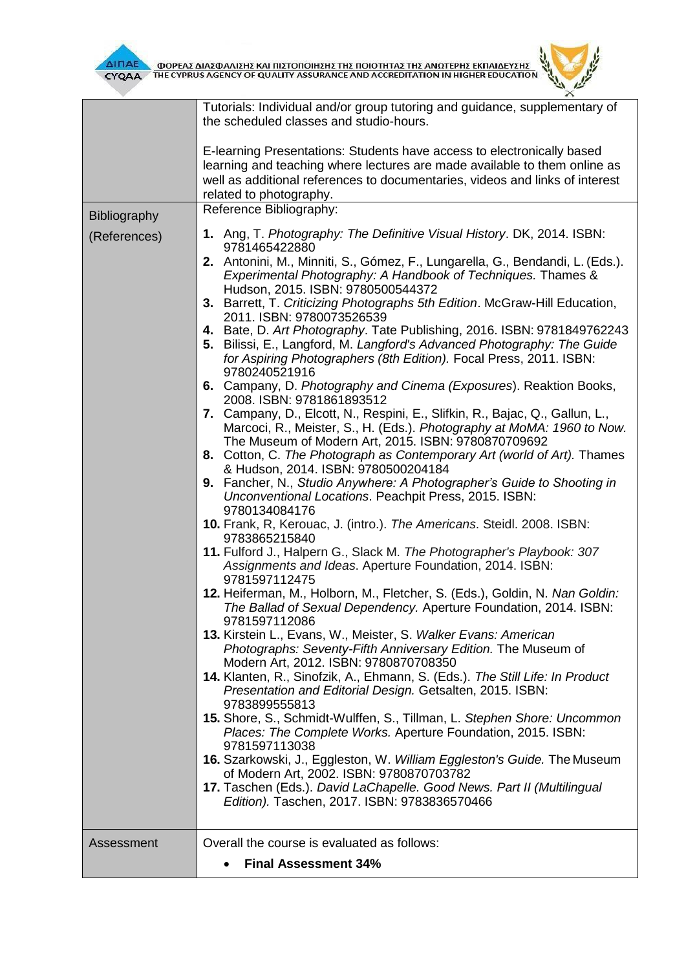



|              | Tutorials: Individual and/or group tutoring and guidance, supplementary of                                                                                                                                                                |  |  |
|--------------|-------------------------------------------------------------------------------------------------------------------------------------------------------------------------------------------------------------------------------------------|--|--|
|              | the scheduled classes and studio-hours.                                                                                                                                                                                                   |  |  |
|              | E-learning Presentations: Students have access to electronically based                                                                                                                                                                    |  |  |
|              | learning and teaching where lectures are made available to them online as                                                                                                                                                                 |  |  |
|              | well as additional references to documentaries, videos and links of interest                                                                                                                                                              |  |  |
|              | related to photography.                                                                                                                                                                                                                   |  |  |
| Bibliography | Reference Bibliography:                                                                                                                                                                                                                   |  |  |
| (References) | 1. Ang, T. Photography: The Definitive Visual History. DK, 2014. ISBN:<br>9781465422880                                                                                                                                                   |  |  |
|              | 2. Antonini, M., Minniti, S., Gómez, F., Lungarella, G., Bendandi, L. (Eds.).<br>Experimental Photography: A Handbook of Techniques. Thames &<br>Hudson, 2015. ISBN: 9780500544372                                                        |  |  |
|              | 3. Barrett, T. Criticizing Photographs 5th Edition. McGraw-Hill Education,<br>2011. ISBN: 9780073526539                                                                                                                                   |  |  |
|              | 4. Bate, D. Art Photography. Tate Publishing, 2016. ISBN: 9781849762243<br>5. Bilissi, E., Langford, M. Langford's Advanced Photography: The Guide<br>for Aspiring Photographers (8th Edition). Focal Press, 2011. ISBN:<br>9780240521916 |  |  |
|              | 6. Campany, D. Photography and Cinema (Exposures). Reaktion Books,<br>2008. ISBN: 9781861893512                                                                                                                                           |  |  |
|              | 7. Campany, D., Elcott, N., Respini, E., Slifkin, R., Bajac, Q., Gallun, L.,<br>Marcoci, R., Meister, S., H. (Eds.). Photography at MoMA: 1960 to Now.<br>The Museum of Modern Art, 2015. ISBN: 9780870709692                             |  |  |
|              | 8. Cotton, C. The Photograph as Contemporary Art (world of Art). Thames<br>& Hudson, 2014. ISBN: 9780500204184                                                                                                                            |  |  |
|              | 9. Fancher, N., Studio Anywhere: A Photographer's Guide to Shooting in<br>Unconventional Locations. Peachpit Press, 2015. ISBN:<br>9780134084176                                                                                          |  |  |
|              | 10. Frank, R, Kerouac, J. (intro.). The Americans. Steidl. 2008. ISBN:<br>9783865215840                                                                                                                                                   |  |  |
|              | 11. Fulford J., Halpern G., Slack M. The Photographer's Playbook: 307<br>Assignments and Ideas. Aperture Foundation, 2014. ISBN:<br>9781597112475                                                                                         |  |  |
|              | 12. Heiferman, M., Holborn, M., Fletcher, S. (Eds.), Goldin, N. Nan Goldin:<br>The Ballad of Sexual Dependency. Aperture Foundation, 2014. ISBN:<br>9781597112086                                                                         |  |  |
|              | 13. Kirstein L., Evans, W., Meister, S. Walker Evans: American<br>Photographs: Seventy-Fifth Anniversary Edition. The Museum of<br>Modern Art, 2012. ISBN: 9780870708350                                                                  |  |  |
|              | 14. Klanten, R., Sinofzik, A., Ehmann, S. (Eds.). The Still Life: In Product<br>Presentation and Editorial Design. Getsalten, 2015. ISBN:<br>9783899555813                                                                                |  |  |
|              | 15. Shore, S., Schmidt-Wulffen, S., Tillman, L. Stephen Shore: Uncommon<br>Places: The Complete Works. Aperture Foundation, 2015. ISBN:<br>9781597113038                                                                                  |  |  |
|              | 16. Szarkowski, J., Eggleston, W. William Eggleston's Guide. The Museum<br>of Modern Art, 2002. ISBN: 9780870703782                                                                                                                       |  |  |
|              | 17. Taschen (Eds.). David LaChapelle. Good News. Part II (Multilingual<br>Edition). Taschen, 2017. ISBN: 9783836570466                                                                                                                    |  |  |
| Assessment   | Overall the course is evaluated as follows:                                                                                                                                                                                               |  |  |
|              | <b>Final Assessment 34%</b>                                                                                                                                                                                                               |  |  |